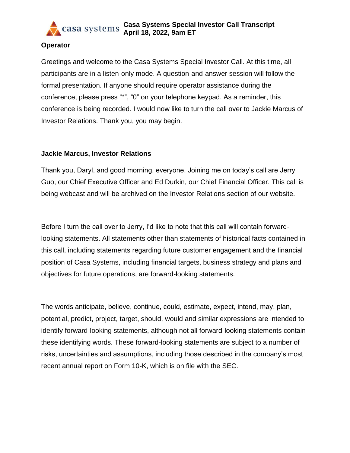

### **Operator**

Greetings and welcome to the Casa Systems Special Investor Call. At this time, all participants are in a listen-only mode. A question-and-answer session will follow the formal presentation. If anyone should require operator assistance during the conference, please press "\*", "0" on your telephone keypad. As a reminder, this conference is being recorded. I would now like to turn the call over to Jackie Marcus of Investor Relations. Thank you, you may begin.

### **Jackie Marcus, Investor Relations**

Thank you, Daryl, and good morning, everyone. Joining me on today's call are Jerry Guo, our Chief Executive Officer and Ed Durkin, our Chief Financial Officer. This call is being webcast and will be archived on the Investor Relations section of our website.

Before I turn the call over to Jerry, I'd like to note that this call will contain forwardlooking statements. All statements other than statements of historical facts contained in this call, including statements regarding future customer engagement and the financial position of Casa Systems, including financial targets, business strategy and plans and objectives for future operations, are forward-looking statements.

The words anticipate, believe, continue, could, estimate, expect, intend, may, plan, potential, predict, project, target, should, would and similar expressions are intended to identify forward-looking statements, although not all forward-looking statements contain these identifying words. These forward-looking statements are subject to a number of risks, uncertainties and assumptions, including those described in the company's most recent annual report on Form 10-K, which is on file with the SEC.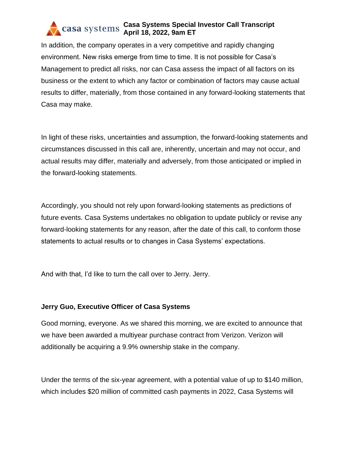In addition, the company operates in a very competitive and rapidly changing environment. New risks emerge from time to time. It is not possible for Casa's Management to predict all risks, nor can Casa assess the impact of all factors on its business or the extent to which any factor or combination of factors may cause actual results to differ, materially, from those contained in any forward-looking statements that Casa may make.

In light of these risks, uncertainties and assumption, the forward-looking statements and circumstances discussed in this call are, inherently, uncertain and may not occur, and actual results may differ, materially and adversely, from those anticipated or implied in the forward-looking statements.

Accordingly, you should not rely upon forward-looking statements as predictions of future events. Casa Systems undertakes no obligation to update publicly or revise any forward-looking statements for any reason, after the date of this call, to conform those statements to actual results or to changes in Casa Systems' expectations.

And with that, I'd like to turn the call over to Jerry. Jerry.

## **Jerry Guo, Executive Officer of Casa Systems**

Good morning, everyone. As we shared this morning, we are excited to announce that we have been awarded a multiyear purchase contract from Verizon. Verizon will additionally be acquiring a 9.9% ownership stake in the company.

Under the terms of the six-year agreement, with a potential value of up to \$140 million, which includes \$20 million of committed cash payments in 2022, Casa Systems will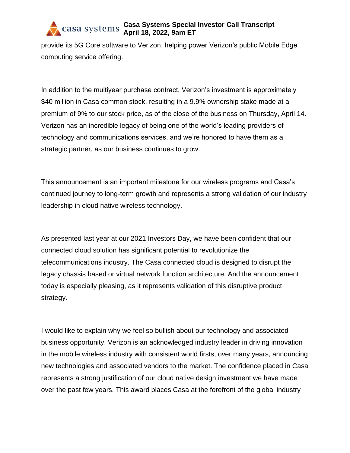provide its 5G Core software to Verizon, helping power Verizon's public Mobile Edge computing service offering.

In addition to the multiyear purchase contract, Verizon's investment is approximately \$40 million in Casa common stock, resulting in a 9.9% ownership stake made at a premium of 9% to our stock price, as of the close of the business on Thursday, April 14. Verizon has an incredible legacy of being one of the world's leading providers of technology and communications services, and we're honored to have them as a strategic partner, as our business continues to grow.

This announcement is an important milestone for our wireless programs and Casa's continued journey to long-term growth and represents a strong validation of our industry leadership in cloud native wireless technology.

As presented last year at our 2021 Investors Day, we have been confident that our connected cloud solution has significant potential to revolutionize the telecommunications industry. The Casa connected cloud is designed to disrupt the legacy chassis based or virtual network function architecture. And the announcement today is especially pleasing, as it represents validation of this disruptive product strategy.

I would like to explain why we feel so bullish about our technology and associated business opportunity. Verizon is an acknowledged industry leader in driving innovation in the mobile wireless industry with consistent world firsts, over many years, announcing new technologies and associated vendors to the market. The confidence placed in Casa represents a strong justification of our cloud native design investment we have made over the past few years. This award places Casa at the forefront of the global industry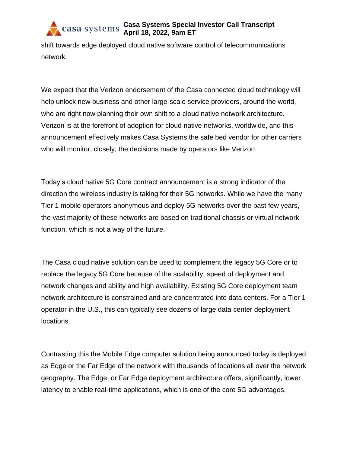shift towards edge deployed cloud native software control of telecommunications network.

We expect that the Verizon endorsement of the Casa connected cloud technology will help unlock new business and other large-scale service providers, around the world, who are right now planning their own shift to a cloud native network architecture. Verizon is at the forefront of adoption for cloud native networks, worldwide, and this announcement effectively makes Casa Systems the safe bed vendor for other carriers who will monitor, closely, the decisions made by operators like Verizon.

Today's cloud native 5G Core contract announcement is a strong indicator of the direction the wireless industry is taking for their 5G networks. While we have the many Tier 1 mobile operators anonymous and deploy 5G networks over the past few years, the vast majority of these networks are based on traditional chassis or virtual network function, which is not a way of the future.

The Casa cloud native solution can be used to complement the legacy 5G Core or to replace the legacy 5G Core because of the scalability, speed of deployment and network changes and ability and high availability. Existing 5G Core deployment team network architecture is constrained and are concentrated into data centers. For a Tier 1 operator in the U.S., this can typically see dozens of large data center deployment locations.

Contrasting this the Mobile Edge computer solution being announced today is deployed as Edge or the Far Edge of the network with thousands of locations all over the network geography. The Edge, or Far Edge deployment architecture offers, significantly, lower latency to enable real-time applications, which is one of the core 5G advantages.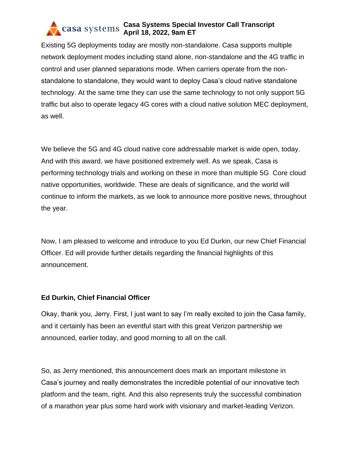Existing 5G deployments today are mostly non-standalone. Casa supports multiple network deployment modes including stand alone, non-standalone and the 4G traffic in control and user planned separations mode. When carriers operate from the nonstandalone to standalone, they would want to deploy Casa's cloud native standalone technology. At the same time they can use the same technology to not only support 5G traffic but also to operate legacy 4G cores with a cloud native solution MEC deployment, as well.

We believe the 5G and 4G cloud native core addressable market is wide open, today. And with this award, we have positioned extremely well. As we speak, Casa is performing technology trials and working on these in more than multiple 5G Core cloud native opportunities, worldwide. These are deals of significance, and the world will continue to inform the markets, as we look to announce more positive news, throughout the year.

Now, I am pleased to welcome and introduce to you Ed Durkin, our new Chief Financial Officer. Ed will provide further details regarding the financial highlights of this announcement.

## **Ed Durkin, Chief Financial Officer**

Okay, thank you, Jerry. First, I just want to say I'm really excited to join the Casa family, and it certainly has been an eventful start with this great Verizon partnership we announced, earlier today, and good morning to all on the call.

So, as Jerry mentioned, this announcement does mark an important milestone in Casa's journey and really demonstrates the incredible potential of our innovative tech platform and the team, right. And this also represents truly the successful combination of a marathon year plus some hard work with visionary and market-leading Verizon.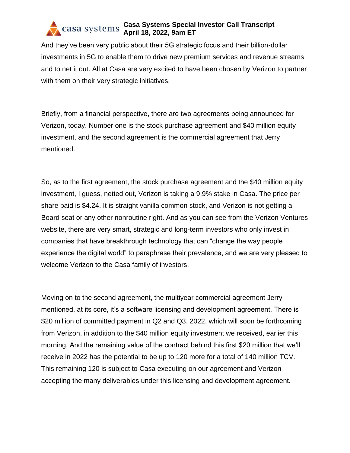And they've been very public about their 5G strategic focus and their billion-dollar investments in 5G to enable them to drive new premium services and revenue streams and to net it out. All at Casa are very excited to have been chosen by Verizon to partner with them on their very strategic initiatives.

Briefly, from a financial perspective, there are two agreements being announced for Verizon, today. Number one is the stock purchase agreement and \$40 million equity investment, and the second agreement is the commercial agreement that Jerry mentioned.

So, as to the first agreement, the stock purchase agreement and the \$40 million equity investment, I guess, netted out, Verizon is taking a 9.9% stake in Casa. The price per share paid is \$4.24. It is straight vanilla common stock, and Verizon is not getting a Board seat or any other nonroutine right. And as you can see from the Verizon Ventures website, there are very smart, strategic and long-term investors who only invest in companies that have breakthrough technology that can "change the way people experience the digital world" to paraphrase their prevalence, and we are very pleased to welcome Verizon to the Casa family of investors.

Moving on to the second agreement, the multiyear commercial agreement Jerry mentioned, at its core, it's a software licensing and development agreement. There is \$20 million of committed payment in Q2 and Q3, 2022, which will soon be forthcoming from Verizon, in addition to the \$40 million equity investment we received, earlier this morning. And the remaining value of the contract behind this first \$20 million that we'll receive in 2022 has the potential to be up to 120 more for a total of 140 million TCV. This remaining 120 is subject to Casa executing on our agreement and Verizon accepting the many deliverables under this licensing and development agreement.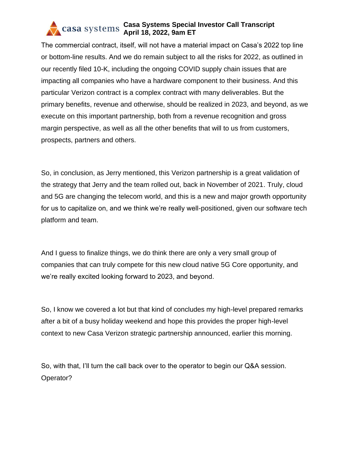The commercial contract, itself, will not have a material impact on Casa's 2022 top line or bottom-line results. And we do remain subject to all the risks for 2022, as outlined in our recently filed 10-K, including the ongoing COVID supply chain issues that are impacting all companies who have a hardware component to their business. And this particular Verizon contract is a complex contract with many deliverables. But the primary benefits, revenue and otherwise, should be realized in 2023, and beyond, as we execute on this important partnership, both from a revenue recognition and gross margin perspective, as well as all the other benefits that will to us from customers, prospects, partners and others.

So, in conclusion, as Jerry mentioned, this Verizon partnership is a great validation of the strategy that Jerry and the team rolled out, back in November of 2021. Truly, cloud and 5G are changing the telecom world, and this is a new and major growth opportunity for us to capitalize on, and we think we're really well-positioned, given our software tech platform and team.

And I guess to finalize things, we do think there are only a very small group of companies that can truly compete for this new cloud native 5G Core opportunity, and we're really excited looking forward to 2023, and beyond.

So, I know we covered a lot but that kind of concludes my high-level prepared remarks after a bit of a busy holiday weekend and hope this provides the proper high-level context to new Casa Verizon strategic partnership announced, earlier this morning.

So, with that, I'll turn the call back over to the operator to begin our Q&A session. Operator?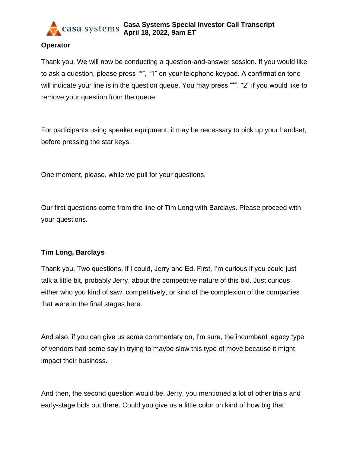

#### **Operator**

Thank you. We will now be conducting a question-and-answer session. If you would like to ask a question, please press "\*", "1" on your telephone keypad. A confirmation tone will indicate your line is in the question queue. You may press "\*", "2" if you would like to remove your question from the queue.

For participants using speaker equipment, it may be necessary to pick up your handset, before pressing the star keys.

One moment, please, while we pull for your questions.

Our first questions come from the line of Tim Long with Barclays. Please proceed with your questions.

#### **Tim Long, Barclays**

Thank you. Two questions, if I could, Jerry and Ed. First, I'm curious if you could just talk a little bit, probably Jerry, about the competitive nature of this bid. Just curious either who you kind of saw, competitively, or kind of the complexion of the companies that were in the final stages here.

And also, if you can give us some commentary on, I'm sure, the incumbent legacy type of vendors had some say in trying to maybe slow this type of move because it might impact their business.

And then, the second question would be, Jerry, you mentioned a lot of other trials and early-stage bids out there. Could you give us a little color on kind of how big that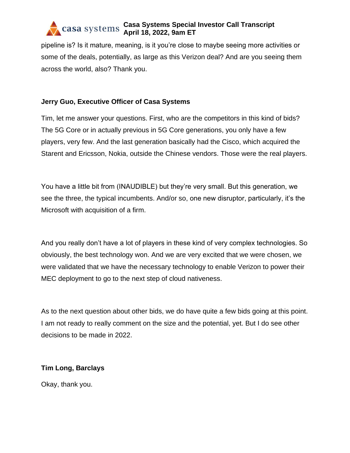pipeline is? Is it mature, meaning, is it you're close to maybe seeing more activities or some of the deals, potentially, as large as this Verizon deal? And are you seeing them across the world, also? Thank you.

## **Jerry Guo, Executive Officer of Casa Systems**

Tim, let me answer your questions. First, who are the competitors in this kind of bids? The 5G Core or in actually previous in 5G Core generations, you only have a few players, very few. And the last generation basically had the Cisco, which acquired the Starent and Ericsson, Nokia, outside the Chinese vendors. Those were the real players.

You have a little bit from (INAUDIBLE) but they're very small. But this generation, we see the three, the typical incumbents. And/or so, one new disruptor, particularly, it's the Microsoft with acquisition of a firm.

And you really don't have a lot of players in these kind of very complex technologies. So obviously, the best technology won. And we are very excited that we were chosen, we were validated that we have the necessary technology to enable Verizon to power their MEC deployment to go to the next step of cloud nativeness.

As to the next question about other bids, we do have quite a few bids going at this point. I am not ready to really comment on the size and the potential, yet. But I do see other decisions to be made in 2022.

## **Tim Long, Barclays**

Okay, thank you.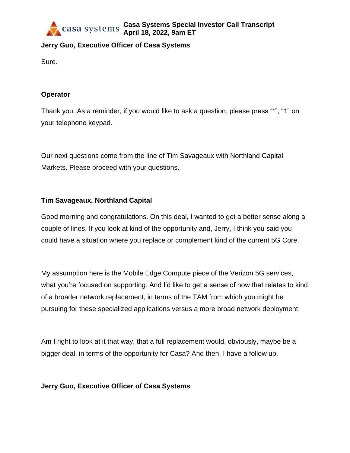

# **Jerry Guo, Executive Officer of Casa Systems**

Sure.

### **Operator**

Thank you. As a reminder, if you would like to ask a question, please press "\*", "1" on your telephone keypad.

Our next questions come from the line of Tim Savageaux with Northland Capital Markets. Please proceed with your questions.

### **Tim Savageaux, Northland Capital**

Good morning and congratulations. On this deal, I wanted to get a better sense along a couple of lines. If you look at kind of the opportunity and, Jerry, I think you said you could have a situation where you replace or complement kind of the current 5G Core.

My assumption here is the Mobile Edge Compute piece of the Verizon 5G services, what you're focused on supporting. And I'd like to get a sense of how that relates to kind of a broader network replacement, in terms of the TAM from which you might be pursuing for these specialized applications versus a more broad network deployment.

Am I right to look at it that way, that a full replacement would, obviously, maybe be a bigger deal, in terms of the opportunity for Casa? And then, I have a follow up.

#### **Jerry Guo, Executive Officer of Casa Systems**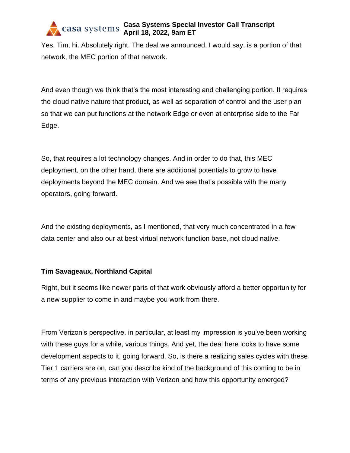Yes, Tim, hi. Absolutely right. The deal we announced, I would say, is a portion of that network, the MEC portion of that network.

And even though we think that's the most interesting and challenging portion. It requires the cloud native nature that product, as well as separation of control and the user plan so that we can put functions at the network Edge or even at enterprise side to the Far Edge.

So, that requires a lot technology changes. And in order to do that, this MEC deployment, on the other hand, there are additional potentials to grow to have deployments beyond the MEC domain. And we see that's possible with the many operators, going forward.

And the existing deployments, as I mentioned, that very much concentrated in a few data center and also our at best virtual network function base, not cloud native.

## **Tim Savageaux, Northland Capital**

Right, but it seems like newer parts of that work obviously afford a better opportunity for a new supplier to come in and maybe you work from there.

From Verizon's perspective, in particular, at least my impression is you've been working with these guys for a while, various things. And yet, the deal here looks to have some development aspects to it, going forward. So, is there a realizing sales cycles with these Tier 1 carriers are on, can you describe kind of the background of this coming to be in terms of any previous interaction with Verizon and how this opportunity emerged?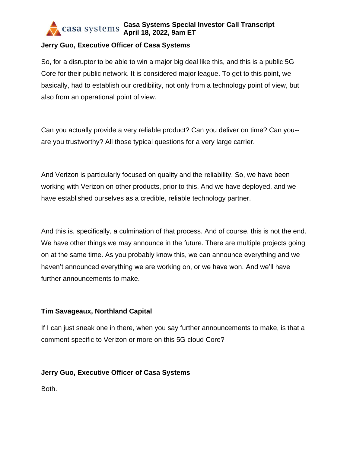## **Jerry Guo, Executive Officer of Casa Systems**

So, for a disruptor to be able to win a major big deal like this, and this is a public 5G Core for their public network. It is considered major league. To get to this point, we basically, had to establish our credibility, not only from a technology point of view, but also from an operational point of view.

Can you actually provide a very reliable product? Can you deliver on time? Can you- are you trustworthy? All those typical questions for a very large carrier.

And Verizon is particularly focused on quality and the reliability. So, we have been working with Verizon on other products, prior to this. And we have deployed, and we have established ourselves as a credible, reliable technology partner.

And this is, specifically, a culmination of that process. And of course, this is not the end. We have other things we may announce in the future. There are multiple projects going on at the same time. As you probably know this, we can announce everything and we haven't announced everything we are working on, or we have won. And we'll have further announcements to make.

#### **Tim Savageaux, Northland Capital**

If I can just sneak one in there, when you say further announcements to make, is that a comment specific to Verizon or more on this 5G cloud Core?

#### **Jerry Guo, Executive Officer of Casa Systems**

Both.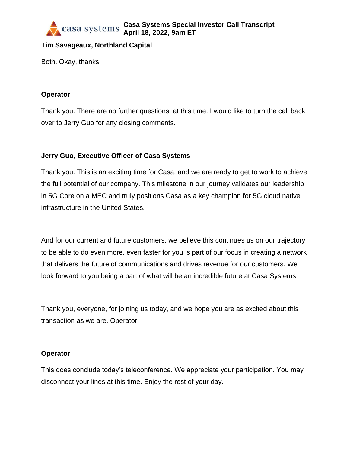

### **Tim Savageaux, Northland Capital**

Both. Okay, thanks.

#### **Operator**

Thank you. There are no further questions, at this time. I would like to turn the call back over to Jerry Guo for any closing comments.

## **Jerry Guo, Executive Officer of Casa Systems**

Thank you. This is an exciting time for Casa, and we are ready to get to work to achieve the full potential of our company. This milestone in our journey validates our leadership in 5G Core on a MEC and truly positions Casa as a key champion for 5G cloud native infrastructure in the United States.

And for our current and future customers, we believe this continues us on our trajectory to be able to do even more, even faster for you is part of our focus in creating a network that delivers the future of communications and drives revenue for our customers. We look forward to you being a part of what will be an incredible future at Casa Systems.

Thank you, everyone, for joining us today, and we hope you are as excited about this transaction as we are. Operator.

#### **Operator**

This does conclude today's teleconference. We appreciate your participation. You may disconnect your lines at this time. Enjoy the rest of your day.